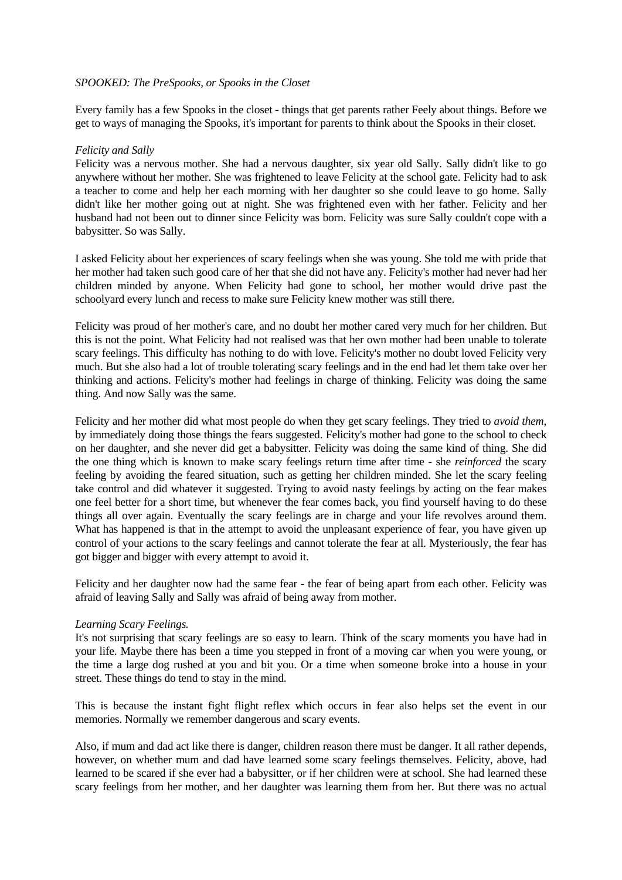#### *SPOOKED: The PreSpooks, or Spooks in the Closet*

Every family has a few Spooks in the closet - things that get parents rather Feely about things. Before we get to ways of managing the Spooks, it's important for parents to think about the Spooks in their closet.

#### *Felicity and Sally*

Felicity was a nervous mother. She had a nervous daughter, six year old Sally. Sally didn't like to go anywhere without her mother. She was frightened to leave Felicity at the school gate. Felicity had to ask a teacher to come and help her each morning with her daughter so she could leave to go home. Sally didn't like her mother going out at night. She was frightened even with her father. Felicity and her husband had not been out to dinner since Felicity was born. Felicity was sure Sally couldn't cope with a babysitter. So was Sally.

I asked Felicity about her experiences of scary feelings when she was young. She told me with pride that her mother had taken such good care of her that she did not have any. Felicity's mother had never had her children minded by anyone. When Felicity had gone to school, her mother would drive past the schoolyard every lunch and recess to make sure Felicity knew mother was still there.

Felicity was proud of her mother's care, and no doubt her mother cared very much for her children. But this is not the point. What Felicity had not realised was that her own mother had been unable to tolerate scary feelings. This difficulty has nothing to do with love. Felicity's mother no doubt loved Felicity very much. But she also had a lot of trouble tolerating scary feelings and in the end had let them take over her thinking and actions. Felicity's mother had feelings in charge of thinking. Felicity was doing the same thing. And now Sally was the same.

Felicity and her mother did what most people do when they get scary feelings. They tried to *avoid them*, by immediately doing those things the fears suggested. Felicity's mother had gone to the school to check on her daughter, and she never did get a babysitter. Felicity was doing the same kind of thing. She did the one thing which is known to make scary feelings return time after time - she *reinforced* the scary feeling by avoiding the feared situation, such as getting her children minded. She let the scary feeling take control and did whatever it suggested. Trying to avoid nasty feelings by acting on the fear makes one feel better for a short time, but whenever the fear comes back, you find yourself having to do these things all over again. Eventually the scary feelings are in charge and your life revolves around them. What has happened is that in the attempt to avoid the unpleasant experience of fear, you have given up control of your actions to the scary feelings and cannot tolerate the fear at all. Mysteriously, the fear has got bigger and bigger with every attempt to avoid it.

Felicity and her daughter now had the same fear - the fear of being apart from each other. Felicity was afraid of leaving Sally and Sally was afraid of being away from mother.

## *Learning Scary Feelings.*

It's not surprising that scary feelings are so easy to learn. Think of the scary moments you have had in your life. Maybe there has been a time you stepped in front of a moving car when you were young, or the time a large dog rushed at you and bit you. Or a time when someone broke into a house in your street. These things do tend to stay in the mind.

This is because the instant fight flight reflex which occurs in fear also helps set the event in our memories. Normally we remember dangerous and scary events.

Also, if mum and dad act like there is danger, children reason there must be danger. It all rather depends, however, on whether mum and dad have learned some scary feelings themselves. Felicity, above, had learned to be scared if she ever had a babysitter, or if her children were at school. She had learned these scary feelings from her mother, and her daughter was learning them from her. But there was no actual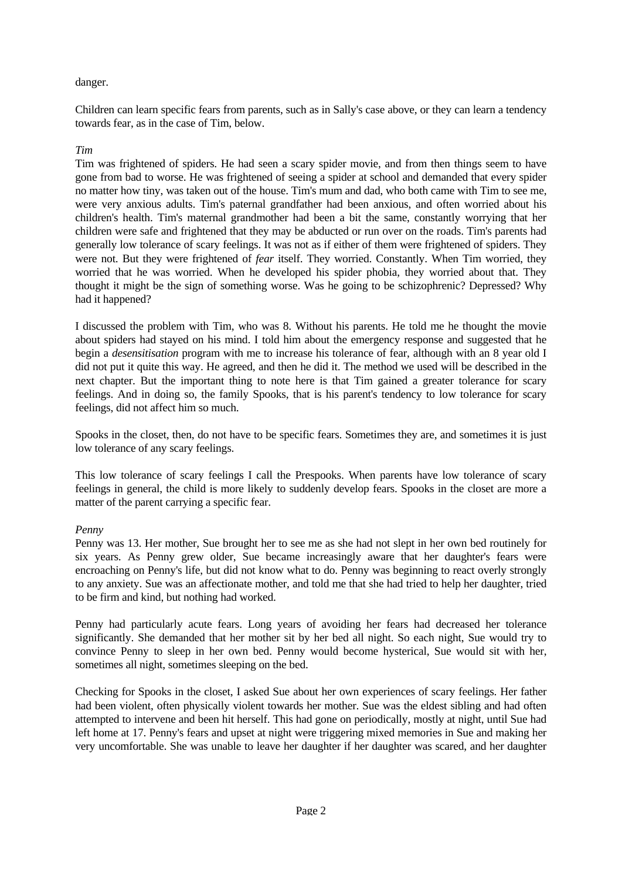# danger.

Children can learn specific fears from parents, such as in Sally's case above, or they can learn a tendency towards fear, as in the case of Tim, below.

# *Tim*

Tim was frightened of spiders. He had seen a scary spider movie, and from then things seem to have gone from bad to worse. He was frightened of seeing a spider at school and demanded that every spider no matter how tiny, was taken out of the house. Tim's mum and dad, who both came with Tim to see me, were very anxious adults. Tim's paternal grandfather had been anxious, and often worried about his children's health. Tim's maternal grandmother had been a bit the same, constantly worrying that her children were safe and frightened that they may be abducted or run over on the roads. Tim's parents had generally low tolerance of scary feelings. It was not as if either of them were frightened of spiders. They were not. But they were frightened of *fear* itself. They worried. Constantly. When Tim worried, they worried that he was worried. When he developed his spider phobia, they worried about that. They thought it might be the sign of something worse. Was he going to be schizophrenic? Depressed? Why had it happened?

I discussed the problem with Tim, who was 8. Without his parents. He told me he thought the movie about spiders had stayed on his mind. I told him about the emergency response and suggested that he begin a *desensitisation* program with me to increase his tolerance of fear, although with an 8 year old I did not put it quite this way. He agreed, and then he did it. The method we used will be described in the next chapter. But the important thing to note here is that Tim gained a greater tolerance for scary feelings. And in doing so, the family Spooks, that is his parent's tendency to low tolerance for scary feelings, did not affect him so much.

Spooks in the closet, then, do not have to be specific fears. Sometimes they are, and sometimes it is just low tolerance of any scary feelings.

This low tolerance of scary feelings I call the Prespooks. When parents have low tolerance of scary feelings in general, the child is more likely to suddenly develop fears. Spooks in the closet are more a matter of the parent carrying a specific fear.

## *Penny*

Penny was 13. Her mother, Sue brought her to see me as she had not slept in her own bed routinely for six years. As Penny grew older, Sue became increasingly aware that her daughter's fears were encroaching on Penny's life, but did not know what to do. Penny was beginning to react overly strongly to any anxiety. Sue was an affectionate mother, and told me that she had tried to help her daughter, tried to be firm and kind, but nothing had worked.

Penny had particularly acute fears. Long years of avoiding her fears had decreased her tolerance significantly. She demanded that her mother sit by her bed all night. So each night, Sue would try to convince Penny to sleep in her own bed. Penny would become hysterical, Sue would sit with her, sometimes all night, sometimes sleeping on the bed.

Checking for Spooks in the closet, I asked Sue about her own experiences of scary feelings. Her father had been violent, often physically violent towards her mother. Sue was the eldest sibling and had often attempted to intervene and been hit herself. This had gone on periodically, mostly at night, until Sue had left home at 17. Penny's fears and upset at night were triggering mixed memories in Sue and making her very uncomfortable. She was unable to leave her daughter if her daughter was scared, and her daughter